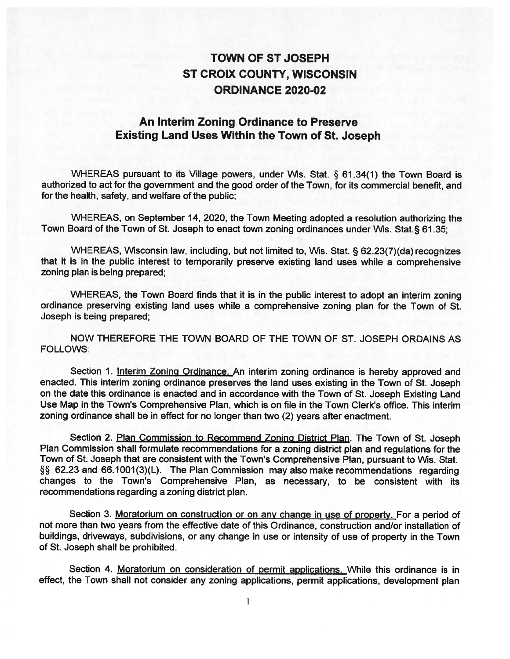## TOWN OF ST JOSEPH ST CROIX COUNTY, WISCONSIN ORDINANCE 2020-02

## An Interim Zoning Ordinance to Preserve Existing Land Uses Within the Town of St. Joseph

WHEREAS pursuant to its Village powers, under Wis. Stat. § 61.34(1) the Town Board is authorized to act for the government and the good order of the Town, for its commercial benefit, and for the health, safety, and welfare of the public;

WHEREAS, on September 14, 2020, the Town Meeting adopted a resolution authorizing the Town Board of the Town of St. Joseph to enact town zoning ordinances under Wis. Stat. § 61.35;

WHEREAS, Wisconsin law, including, but not limited to, Wis. Stat. § 62.23(7)(da) recognizes that it is in the public interest to temporarily preserve existing land uses while a comprehensive zoning plan is being prepared;

WHEREAS, the Town Board finds that it is in the public interest to adopt an interim zoning ordinance preserving existing land uses while a comprehensive zoning plan for the Town of St. Joseph is being prepared;

NOW THEREFORE THE TOWN BOARD OF THE TOWN OF ST. JOSEPH ORDAINS AS FOLLOWS:

Section 1. Interim Zoning Ordinance. An interim zoning ordinance is hereby approved and enacted. This interim zoning ordinance preserves the land uses existing in the Town of St. Joseph on the date this ordinance is enacted and in accordance with the Town of St. Joseph Existing Land Use Map in the Town's Comprehensive Plan, which is on file in the Town Clerk's office. This interim zoning ordinance shall be in effect for no longer than two (2) years after enactment.

Section 2. Plan Commission to Recommend Zoning District Plan. The Town of St. Joseph Plan Commission shall formulate recommendations for a zoning district plan and regulations for the Town of St. Joseph that are consistent with the Town's Comprehensive Plan, pursuant to Wis. Stat. § 62.23 and 66.1001(3)(L). The Plan Commission may also make recommendations regarding changes to the Town's Comprehensive Plan, as necessary, to be consistent with its recommendations regarding a zoning district plan.

Section 3. Moratorium on construction or on any change in use of property. For a period of not more than two years from the effective date of this Ordinance, construction and/or installation of buildings, driveways, subdivisions, or any change in use or intensity of use of property in the Town of St. Joseph shall be prohibited.

Section 4. Moratorium on consideration of permit applications. While this ordinance is in effect, the Town shall not consider any zoning applications, permit applications, development plan